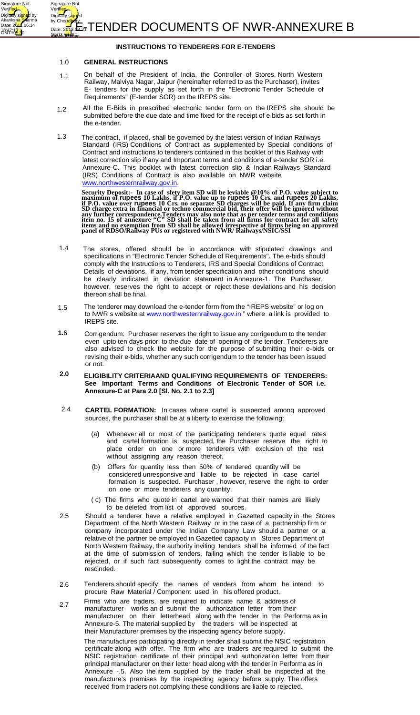



#### 1.0 **GENERAL INSTRUCTIONS**

Signature Not Veri<mark>fied</mark>

Digitally si<mark>gne</mark>d by Akanks<mark>ha Sh</mark>arma Date: 2<mark>011</mark>.06.14

18:42:1<mark>3.1</mark>0<br>GMT+0<mark>5:3</mark>0 16:07:5<del>2.1</del>65<br>————————————————————16:07:5<del>2.1</del>65

Signature Not Verified

Digitally sign

Ashok <del>Kum</del>ar

- 1.1 On behalf of the President of India, the Controller of Stores, North Western Railway, Malviya Nagar, Jaipur (hereinafter referred to as the Purchaser), invites E- tenders for the supply as set forth in the "Electronic Tender Schedule of Requirements" (E-tender SOR) on the IREPS site.
- 1.2 All the E-Bids in prescribed electronic tender form on the IREPS site should be submitted before the due date and time fixed for the receipt of e bids as set forth in the e-tender.
- 1.3 The contract, if placed, shall be governed by the latest version of Indian Railways Standard (IRS) Conditions of Contract as supplemented by Special conditions of Contract and instructions to tenderers contained in this booklet of this Railway with latest correction slip if any and Important terms and conditions of e-tender SOR i.e. Annexure-C. This booklet with latest correction slip & Indian Railways Standard (IRS) Conditions of Contract is also available on NWR website www.northwesternrailway.gov.in.

**Security Deposit:- In case of sfety item SD will be leviable @10% of P.O. value subject to maximum of rupees 10 Lakhs, if P.O. value up to rupees 10 Crs. and rupees 20 Lakhs, if P.O. value over rupees 10 Crs. no separate SD charges will be paid. If any firm claim SD charge extra in financial or techno commercial bid, their offer will be ignored without any further correspondence.Tenders may also note that as per tender terms and conditions item no. 15 of annexure "C" SD shall be taken from all firms for contract for all safety items and no exemption from SD shall be allowed irrespective of firms being on approved panel of RDSO/Railway PUs or registered with NWR/ Railways/NSIC/SSI**

- 1.4 The stores, offered should be in accordance with stipulated drawings and specifications in "Electronic Tender Schedule of Requirements". The e-bids should comply with the Instructions to Tenderers, IRS and Special Conditions of Contract. Details of deviations, if any, from tender specification and other conditions should be clearly indicated in deviation statement in Annexure-1. The Purchaser, however, reserves the right to accept or reject these deviations and his decision thereon shall be final.
- 1.5 The tenderer may download the e-tender form from the "IREPS website" or log on to NWR s website at www.northwesternrailway.gov.in " where a link is provided to IREPS site.
- **1.**6 Corrigendum: Purchaser reserves the right to issue any corrigendum to the tender even upto ten days prior to the due date of opening of the tender. Tenderers are also advised to check the website for the purpose of submitting their e-bids or revising their e-bids, whether any such corrigendum to the tender has been issued or not.
- **2.0 ELIGIBILITY CRITERIAAND QUALIFYING REQUIREMENTS OF TENDERERS: See Important Terms and Conditions of Electronic Tender of SOR i.e. Annexure-C at Para 2.0 [Sl. No. 2.1 to 2.3]**
- 2.4 **CARTEL FORMATION:** In cases where cartel is suspected among approved sources, the purchaser shall be at a liberty to exercise the following:
	- (a) Whenever all or most of the participating tenderers quote equal rates and cartel formation is suspected, the Purchaser reserve the right to place order on one or more tenderers with exclusion of the rest without assigning any reason thereof.
	- (b) Offers for quantity less then 50% of tendered quantity will be considered unresponsive and liable to be rejected in case cartel formation is suspected. Purchaser , however, reserve the right to order on one or more tenderers any quantity.
	- ( c) The firms who quote in cartel are warned that their names are likely to be deleted from list of approved sources.
- 2.5 Should a tenderer have a relative employed in Gazetted capacity in the Stores Department of the North Western Railway or in the case of a partnership firm or company incorporated under the Indian Company Law should a partner or a relative of the partner be employed in Gazetted capacity in Stores Department of North Western Railway, the authority inviting tenders shall be informed of the fact at the time of submission of tenders, failing which the tender is liable to be rejected, or if such fact subsequently comes to light the contract may be rescinded.
- 2.6 Tenderers should specify the names of venders from whom he intend to procure Raw Material / Component used in his offered product.
- 2.7 Firms who are traders, are required to indicate name & address of manufacturer works an d submit the authorization letter from their manufacturer on their letterhead along with the tender in the Performa as in Annexure-5. The material supplied by the traders will be inspected at their Manufacturer premises by the inspecting agency before supply.

The manufactures participating directly in tender shall submit the NSIC registration certificate along with offer. The firm who are traders are required to submit the NSIC registration certificate of their principal and authorization letter from their principal manufacturer on their letter head along with the tender in Performa as in Annexure -.5. Also the item supplied by the trader shall be inspected at the manufacture's premises by the inspecting agency before supply. The offers received from traders not complying these conditions are liable to rejected.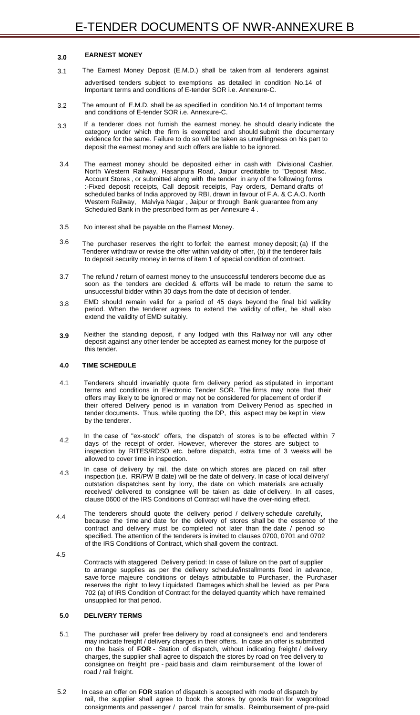#### **EARNEST MONEY 3.0**

- advertised tenders subject to exemptions as detailed in condition No.14 of Important terms and conditions of E-tender SOR i.e. Annexure-C. 3.1 The Earnest Money Deposit (E.M.D.) shall be taken from all tenderers against
- 3.2 The amount of E.M.D. shall be as specified in condition No.14 of Important terms and conditions of E-tender SOR i.e. Annexure-C.
- 3.3 If a tenderer does not furnish the earnest money, he should clearly indicate the category under which the firm is exempted and should submit the documentary evidence for the same. Failure to do so will be taken as unwillingness on his part to deposit the earnest money and such offers are liable to be ignored.
- 3.4 The earnest money should be deposited either in cash with Divisional Cashier, North Western Railway, Hasanpura Road, Jaipur creditable to "Deposit Misc. Account Stores , or submitted along with the tender in any of the following forms :-Fixed deposit receipts, Call deposit receipts, Pay orders, Demand drafts of scheduled banks of India approved by RBI, drawn in favour of F.A. & C.A.O. North Western Railway, Malviya Nagar , Jaipur or through Bank guarantee from any Scheduled Bank in the prescribed form as per Annexure 4 .
- 3.5 No interest shall be payable on the Earnest Money.
- 3.6 The purchaser reserves the right to forfeit the earnest money deposit; (a) If the Tenderer withdraw or revise the offer within validity of offer, (b) if the tenderer fails to deposit security money in terms of item 1 of special condition of contract.
- 3.7 The refund / return of earnest money to the unsuccessful tenderers become due as soon as the tenders are decided & efforts will be made to return the same to unsuccessful bidder within 30 days from the date of decision of tender.
- 3.8 EMD should remain valid for a period of 45 days beyond the final bid validity period. When the tenderer agrees to extend the validity of offer, he shall also extend the validity of EMD suitably.
- **3.9** Neither the standing deposit, if any lodged with this Railway nor will any other deposit against any other tender be accepted as earnest money for the purpose of this tender.

# **4.0 TIME SCHEDULE**

- 4.1 Tenderers should invariably quote firm delivery period as stipulated in important terms and conditions in Electronic Tender SOR. The firms may note that their offers may likely to be ignored or may not be considered for placement of order if their offered Delivery period is in variation from Delivery Period as specified in tender documents. Thus, while quoting the DP, this aspect may be kept in view by the tenderer.
- 4.2 In the case of "ex-stock" offers, the dispatch of stores is to be effected within 7 days of the receipt of order. However, wherever the stores are subject to inspection by RITES/RDSO etc. before dispatch, extra time of 3 weeks will be allowed to cover time in inspection.
- 4.3 In case of delivery by rail, the date on which stores are placed on rail after inspection (i.e. RR/PW B date) will be the date of delivery. In case of local delivery/ outstation dispatches sent by lorry, the date on which materials are actually received/ delivered to consignee will be taken as date of delivery. In all cases,

clause 0600 of the IRS Conditions of Contract will have the over-riding effect.

4.5

4.4 The tenderers should quote the delivery period / delivery schedule carefully, because the time and date for the delivery of stores shall be the essence of the contract and delivery must be completed not later than the date / period so specified. The attention of the tenderers is invited to clauses 0700, 0701 and 0702 of the IRS Conditions of Contract, which shall govern the contract.

Contracts with staggered Delivery period: In case of failure on the part of supplier to arrange supplies as per the delivery schedule/installments fixed in advance, save force majeure conditions or delays attributable to Purchaser, the Purchaser reserves the right to levy Liquidated Damages which shall be levied as per Para 702 (a) of IRS Condition of Contract for the delayed quantity which have remained unsupplied for that period.

### **5.0 DELIVERY TERMS**

- 5.1 The purchaser will prefer free delivery by road at consignee's end and tenderers may indicate freight / delivery charges in their offers. In case an offer is submitted on the basis of **FOR** - Station of dispatch, without indicating freight / delivery charges, the supplier shall agree to dispatch the stores by road on free delivery to consignee on freight pre - paid basis and claim reimbursement of the lower of road / rail freight.
- 5.2 In case an offer on **FOR** station of dispatch is accepted with mode of dispatch by rail, the supplier shall agree to book the stores by goods train for wagonload consignments and passenger / parcel train for smalls. Reimbursement of pre-paid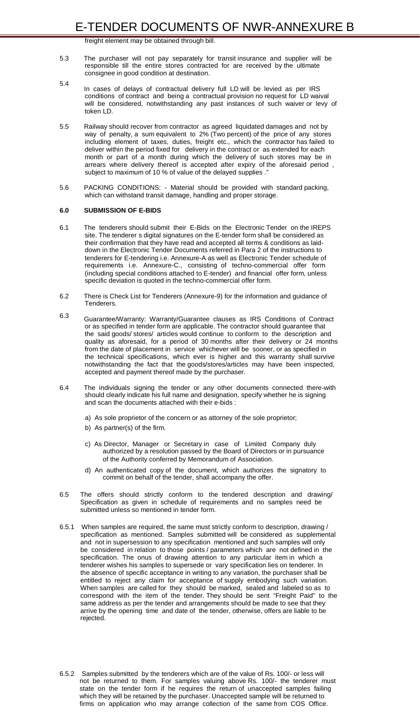freight element may be obtained through bill.

- 5.3 The purchaser will not pay separately for transit insurance and supplier will be responsible till the entire stores contracted for are received by the ultimate consignee in good condition at destination.
- 5.4
	- In cases of delays of contractual delivery full LD will be levied as per IRS conditions of contract and being a contractual provision no request for LD waival will be considered, notwithstanding any past instances of such waiver or levy of token LD.
- 5.5 Railway should recover from contractor as agreed liquidated damages and not by way of penalty, a sum equivalent to 2% (Two percent) of the price of any stores including element of taxes, duties, freight etc., which the contractor has failed to deliver within the period fixed for delivery in the contract or as extended for each month or part of a month during which the delivery of such stores may be in arrears where delivery thereof is accepted after expiry of the aforesaid period , subject to maximum of 10 % of value of the delayed supplies ."
- 5.6 PACKING CONDITIONS: Material should be provided with standard packing, which can withstand transit damage, handling and proper storage.

### **6.0 SUBMISSION OF E-BIDS**

- 6.1 The tenderers should submit their E-Bids on the Electronic Tender on the IREPS site. The tenderer s digital signatures on the E-tender form shall be considered as their confirmation that they have read and accepted all terms & conditions as laiddown in the Electronic Tender Documents referred in Para 2 of the instructions to tenderers for E-tendering i.e. Annexure-A as well as Electronic Tender schedule of requirements i.e. Annexure-C., consisting of techno-commercial offer form (including special conditions attached to E-tender) and financial offer form, unless specific deviation is quoted in the techno-commercial offer form.
- 6.2 There is Check List for Tenderers (Annexure-9) for the information and guidance of Tenderers.
- 6.3 Guarantee/Warranty: Warranty/Guarantee clauses as IRS Conditions of Contract or as specified in tender form are applicable. The contractor should guarantee that the said goods/ stores/ articles would continue to conform to the description and quality as aforesaid, for a period of 30 months after their delivery or 24 months from the date of placement in service whichever will be sooner, or as specified in the technical specifications, which ever is higher and this warranty shall survive notwithstanding the fact that the goods/stores/articles may have been inspected, accepted and payment thereof made by the purchaser.
- 6.4 The individuals signing the tender or any other documents connected there-with should clearly indicate his full name and designation, specify whether he is signing and scan the documents attached with their e-bids :
	- a) As sole proprietor of the concern or as attorney of the sole proprietor;
	- b) As partner(s) of the firm.
	- c) As Director, Manager or Secretary in case of Limited Company duly authorized by a resolution passed by the Board of Directors or in pursuance of the Authority conferred by Memorandum of Association.
	- d) An authenticated copy of the document, which authorizes the signatory to commit on behalf of the tender, shall accompany the offer.
- 6.5 The offers should strictly conform to the tendered description and drawing/
- Specification as given in schedule of requirements and no samples need be submitted unless so mentioned in tender form.
- 6.5.1 When samples are required, the same must strictly conform to description, drawing / specification as mentioned. Samples submitted will be considered as supplemental and not in supersession to any specification mentioned and such samples will only be considered in relation to those points / parameters which are not defined in the specification. The onus of drawing attention to any particular item in which a tenderer wishes his samples to supersede or vary specification lies on tenderer. In the absence of specific acceptance in writing to any variation, the purchaser shall be entitled to reject any claim for acceptance of supply embodying such variation. When samples are called for they should be marked, sealed and labeled so as to correspond with the item of the tender. They should be sent "Freight Paid" to the same address as per the tender and arrangements should be made to see that they arrive by the opening time and date of the tender, otherwise, offers are liable to be rejected.
- 6.5.2 Samples submitted by the tenderers which are of the value of Rs. 100/- or less will not be returned to them. For samples valuing above Rs. 100/- the tenderer must state on the tender form if he requires the return of unaccepted samples failing which they will be retained by the purchaser. Unaccepted sample will be returned to firms on application who may arrange collection of the same from COS Office.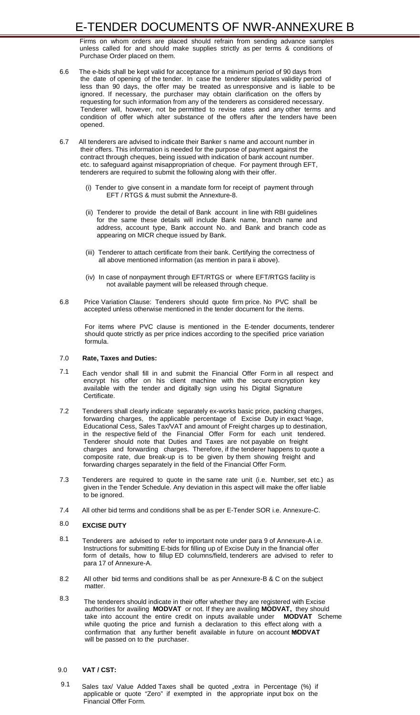Firms on whom orders are placed should refrain from sending advance samples unless called for and should make supplies strictly as per terms & conditions of Purchase Order placed on them.

- 6.6 The e-bids shall be kept valid for acceptance for a minimum period of 90 days from the date of opening of the tender. In case the tenderer stipulates validity period of less than 90 days, the offer may be treated as unresponsive and is liable to be ignored. If necessary, the purchaser may obtain clarification on the offers by requesting for such information from any of the tenderers as considered necessary. Tenderer will, however, not be permitted to revise rates and any other terms and condition of offer which alter substance of the offers after the tenders have been opened.
- 6.7 All tenderers are advised to indicate their Banker s name and account number in their offers. This information is needed for the purpose of payment against the contract through cheques, being issued with indication of bank account number. etc. to safeguard against misappropriation of cheque. For payment through EFT, tenderers are required to submit the following along with their offer.
	- (i) Tender to give consent in a mandate form for receipt of payment through EFT / RTGS & must submit the Annexture-8.
	- (ii) Tenderer to provide the detail of Bank account in line with RBI guidelines for the same these details will include Bank name, branch name and address, account type, Bank account No. and Bank and branch code as appearing on MICR cheque issued by Bank.
	- (iii) Tenderer to attach certificate from their bank. Certifying the correctness of all above mentioned information (as mention in para ii above).
	- (iv) In case of nonpayment through EFT/RTGS or where EFT/RTGS facility is not available payment will be released through cheque.
- 6.8 Price Variation Clause: Tenderers should quote firm price. No PVC shall be accepted unless otherwise mentioned in the tender document for the items.

For items where PVC clause is mentioned in the E-tender documents, tenderer should quote strictly as per price indices according to the specified price variation formula.

#### 7.0 **Rate, Taxes and Duties:**

- 7.1 Each vendor shall fill in and submit the Financial Offer Form in all respect and encrypt his offer on his client machine with the secure encryption key available with the tender and digitally sign using his Digital Signature Certificate.
- 7.2 Tenderers shall clearly indicate separately ex-works basic price, packing charges, forwarding charges, the applicable percentage of Excise Duty in exact %age, Educational Cess, Sales Tax/VAT and amount of Freight charges up to destination, in the respective field of the Financial Offer Form for each unit tendered. Tenderer should note that Duties and Taxes are not payable on freight charges and forwarding charges. Therefore, if the tenderer happens to quote a composite rate, due break-up is to be given by them showing freight and forwarding charges separately in the field of the Financial Offer Form.
- 7.3 Tenderers are required to quote in the same rate unit (i.e. Number, set etc.) as given in the Tender Schedule. Any deviation in this aspect will make the offer liable to be ignored.
	-
- 7.4 All other bid terms and conditions shall be as per E-Tender SOR i.e. Annexure-C.

#### 8.0 **EXCISE DUTY**

- 8.1 Tenderers are advised to refer to important note under para 9 of Annexure-A i.e. Instructions for submitting E-bids for filling up of Excise Duty in the financial offer form of details, how to fillup ED columns/field, tenderers are advised to refer to para 17 of Annexure-A.
- 8.2 All other bid terms and conditions shall be as per Annexure-B & C on the subject matter.
- 8.3 The tenderers should indicate in their offer whether they are registered with Excise authorities for availing **MODVAT** or not. If they are availing **MODVAT,** they should take into account the entire credit on inputs available under **MODVAT** Scheme while quoting the price and furnish a declaration to this effect along with a confirmation that any further benefit available in future on account MODVAT will be passed on to the purchaser.

#### 9.0 **VAT / CST:**

9.1 Sales tax/ Value Added Taxes shall be quoted "extra in Percentage (%) if applicable or quote "Zero" if exempted in the appropriate input box on the Financial Offer Form.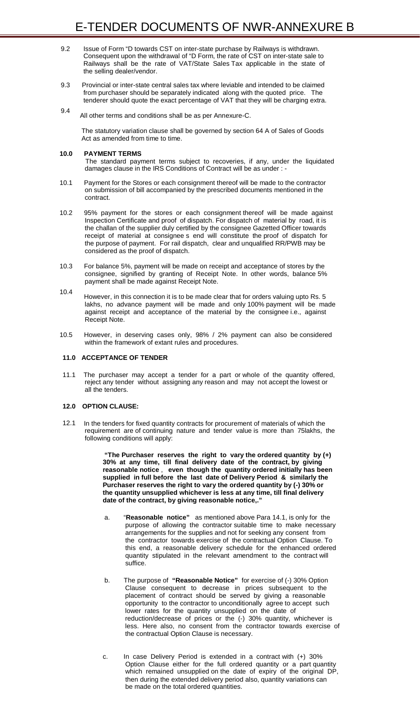- 9.2 Issue of Form "D towards CST on inter-state purchase by Railways is withdrawn. Consequent upon the withdrawal of "D Form, the rate of CST on inter-state sale to Railways shall be the rate of VAT/State Sales Tax applicable in the state of the selling dealer/vendor.
- 9.3 Provincial or inter-state central sales tax where leviable and intended to be claimed from purchaser should be separately indicated along with the quoted price. The tenderer should quote the exact percentage of VAT that they will be charging extra.
- 9.4 All other terms and conditions shall be as per Annexure-C.

The statutory variation clause shall be governed by section 64 A of Sales of Goods Act as amended from time to time.

# **10.0 PAYMENT TERMS**

The standard payment terms subject to recoveries, if any, under the liquidated damages clause in the IRS Conditions of Contract will be as under : -

- 10.1 Payment for the Stores or each consignment thereof will be made to the contractor on submission of bill accompanied by the prescribed documents mentioned in the contract.
- 10.2 95% payment for the stores or each consignment thereof will be made against Inspection Certificate and proof of dispatch. For dispatch of material by road, it is the challan of the supplier duly certified by the consignee Gazetted Officer towards receipt of material at consignee s end will constitute the proof of dispatch for the purpose of payment. For rail dispatch, clear and unqualified RR/PWB may be considered as the proof of dispatch.
- 10.3 For balance 5%, payment will be made on receipt and acceptance of stores by the consignee, signified by granting of Receipt Note. In other words, balance 5% payment shall be made against Receipt Note.
- 10.4 However, in this connection it is to be made clear that for orders valuing upto Rs. 5 lakhs, no advance payment will be made and only 100% payment will be made against receipt and acceptance of the material by the consignee i.e., against Receipt Note.
- 10.5 However, in deserving cases only, 98% / 2% payment can also be considered within the framework of extant rules and procedures.

# **11.0 ACCEPTANCE OF TENDER**

11.1 The purchaser may accept a tender for a part or whole of the quantity offered, reject any tender without assigning any reason and may not accept the lowest or all the tenders.

# **12.0 OPTION CLAUSE:**

12.1 In the tenders for fixed quantity contracts for procurement of materials of which the requirement are of continuing nature and tender value is more than 75lakhs, the following conditions will apply:

> **"The Purchaser reserves the right to vary the ordered quantity by (+) 30% at any time, till final delivery date of the contract, by giving reasonable notice** , **even though the quantity ordered initially has been supplied in full before the last date of Delivery Period & similarly the Purchaser reserves the right to vary the ordered quantity by (-) 30% or the quantity unsupplied whichever is less at any time, till final delivery**

#### **date of the contract, by giving reasonable notice,."**

- a. "**Reasonable notice"** as mentioned above Para 14.1, is only for the purpose of allowing the contractor suitable time to make necessary arrangements for the supplies and not for seeking any consent from the contractor towards exercise of the contractual Option Clause. To this end, a reasonable delivery schedule for the enhanced ordered quantity stipulated in the relevant amendment to the contract will suffice.
- b. The purpose of **"Reasonable Notice"** for exercise of (-) 30% Option Clause consequent to decrease in prices subsequent to the placement of contract should be served by giving a reasonable opportunity to the contractor to unconditionally agree to accept such lower rates for the quantity unsupplied on the date of reduction/decrease of prices or the (-) 30% quantity, whichever is less. Here also, no consent from the contractor towards exercise of the contractual Option Clause is necessary.
- c. In case Delivery Period is extended in a contract with (+) 30% Option Clause either for the full ordered quantity or a part quantity which remained unsupplied on the date of expiry of the original DP, then during the extended delivery period also, quantity variations can be made on the total ordered quantities.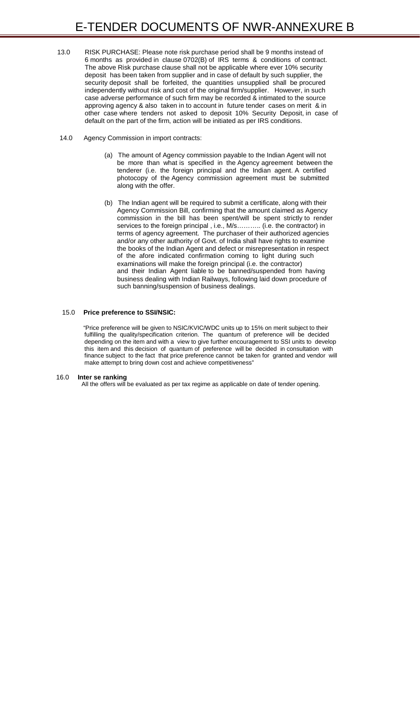- 13.0 RISK PURCHASE: Please note risk purchase period shall be 9 months instead of 6 months as provided in clause 0702(B) of IRS terms & conditions of contract. The above Risk purchase clause shall not be applicable where ever 10% security deposit has been taken from supplier and in case of default by such supplier, the security deposit shall be forfeited, the quantities unsupplied shall be procured independently without risk and cost of the original firm/supplier. However, in such case adverse performance of such firm may be recorded & intimated to the source approving agency & also taken in to account in future tender cases on merit & in other case where tenders not asked to deposit 10% Security Deposit, in case of default on the part of the firm, action will be initiated as per IRS conditions.
- 14.0 Agency Commission in import contracts:
	- (a) The amount of Agency commission payable to the Indian Agent will not be more than what is specified in the Agency agreement between the tenderer (i.e. the foreign principal and the Indian agent. A certified photocopy of the Agency commission agreement must be submitted along with the offer.
	- (b) The Indian agent will be required to submit a certificate, along with their Agency Commission Bill, confirming that the amount claimed as Agency commission in the bill has been spent/will be spent strictly to render services to the foreign principal, i.e., M/s........... (i.e. the contractor) in terms of agency agreement. The purchaser of their authorized agencies and/or any other authority of Govt. of India shall have rights to examine the books of the Indian Agent and defect or misrepresentation in respect of the afore indicated confirmation coming to light during such examinations will make the foreign principal (i.e. the contractor) and their Indian Agent liable to be banned/suspended from having business dealing with Indian Railways, following laid down procedure of such banning/suspension of business dealings.

#### 15.0 **Price preference to SSI/NSIC:**

"Price preference will be given to NSIC/KVIC/WDC units up to 15% on merit subject to their fulfilling the quality/specification criterion. The quantum of preference will be decided depending on the item and with a view to give further encouragement to SSI units to develop this item and this decision of quantum of preference will be decided in consultation with finance subject to the fact that price preference cannot be taken for granted and vendor will make attempt to bring down cost and achieve competitiveness"

#### 16.0 **Inter se ranking**

All the offers will be evaluated as per tax regime as applicable on date of tender opening.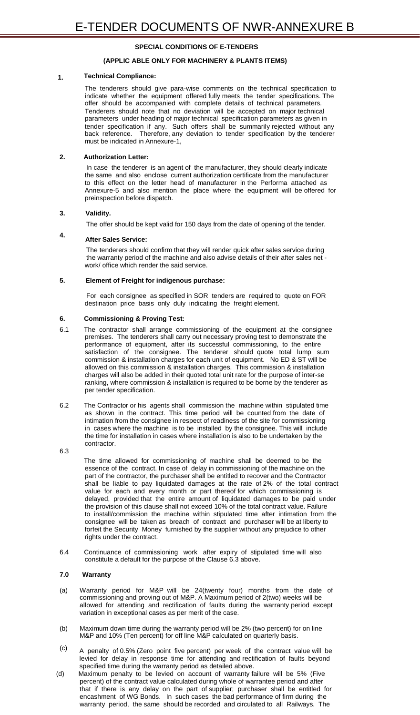# **SPECIAL CONDITIONS OF E-TENDERS**

## **(APPLIC ABLE ONLY FOR MACHINERY & PLANTS ITEMS)**

# **1. Technical Compliance:**

The tenderers should give para-wise comments on the technical specification to indicate whether the equipment offered fully meets the tender specifications. The offer should be accompanied with complete details of technical parameters. Tenderers should note that no deviation will be accepted on major technical parameters under heading of major technical specification parameters as given in tender specification if any. Such offers shall be summarily rejected without any back reference. Therefore, any deviation to tender specification by the tenderer must be indicated in Annexure-1,

### **2. Authorization Letter:**

In case the tenderer is an agent of the manufacturer, they should clearly indicate the same and also enclose current authorization certificate from the manufacturer to this effect on the letter head of manufacturer in the Performa attached as Annexure-5 and also mention the place where the equipment will be offered for preinspection before dispatch.

#### **3. Validity.**

The offer should be kept valid for 150 days from the date of opening of the tender.

#### **4. After Sales Service:**

The tenderers should confirm that they will render quick after sales service during the warranty period of the machine and also advise details of their after sales net work/ office which render the said service.

# **5. Element of Freight for indigenous purchase:**

For each consignee as specified in SOR tenders are required to quote on FOR destination price basis only duly indicating the freight element.

# **6. Commissioning & Proving Test:**

- 6.1 The contractor shall arrange commissioning of the equipment at the consignee premises. The tenderers shall carry out necessary proving test to demonstrate the performance of equipment, after its successful commissioning, to the entire satisfaction of the consignee. The tenderer should quote total lump sum commission & installation charges for each unit of equipment. No ED & ST will be allowed on this commission & installation charges. This commission & installation charges will also be added in their quoted total unit rate for the purpose of inter-se ranking, where commission & installation is required to be borne by the tenderer as per tender specification.
- 6.2 The Contractor or his agents shall commission the machine within stipulated time as shown in the contract. This time period will be counted from the date of intimation from the consignee in respect of readiness of the site for commissioning in cases where the machine is to be installed by the consignee. This will include the time for installation in cases where installation is also to be undertaken by the contractor.
- 6.3

The time allowed for commissioning of machine shall be deemed to be the essence of the contract. In case of delay in commissioning of the machine on the part of the contractor, the purchaser shall be entitled to recover and the Contractor shall be liable to pay liquidated damages at the rate of 2% of the total contract value for each and every month or part thereof for which commissioning is

- delayed, provided that the entire amount of liquidated damages to be paid under the provision of this clause shall not exceed 10% of the total contract value. Failure to install/commission the machine within stipulated time after intimation from the consignee will be taken as breach of contract and purchaser will be at liberty to forfeit the Security Money furnished by the supplier without any prejudice to other rights under the contract.
- 6.4 Continuance of commissioning work after expiry of stipulated time will also constitute a default for the purpose of the Clause 6.3 above.

#### **7.0 Warranty**

- (a) Warranty period for M&P will be 24(twenty four) months from the date of commissioning and proving out of M&P. A Maximum period of 2(two) weeks will be allowed for attending and rectification of faults during the warranty period except variation in exceptional cases as per merit of the case.
- (b) Maximum down time during the warranty period will be 2% (two percent) for on line M&P and 10% (Ten percent) for off line M&P calculated on quarterly basis.
- (c) A penalty of 0.5% (Zero point five percent) per week of the contract value will be levied for delay in response time for attending and rectification of faults beyond specified time during the warranty period as detailed above.
- (d) Maximum penalty to be levied on account of warranty failure will be 5% (Five percent) of the contract value calculated during whole of warrantee period and after that if there is any delay on the part of supplier; purchaser shall be entitled for encashment of WG Bonds. In such cases the bad performance of firm during the warranty period, the same should be recorded and circulated to all Railways. The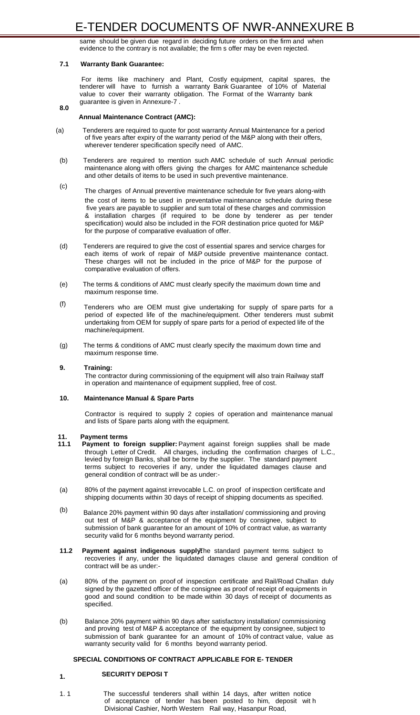same should be given due regard in deciding future orders on the firm and when evidence to the contrary is not available; the firm s offer may be even rejected.

### **8.0**

#### **7.1 Warranty Bank Guarantee:**

For items like machinery and Plant, Costly equipment, capital spares, the tenderer will have to furnish a warranty Bank Guarantee of 10% of Material value to cover their warranty obligation. The Format of the Warranty bank guarantee is given in Annexure-7 .

# **Annual Maintenance Contract (AMC):**

- (a) Tenderers are required to quote for post warranty Annual Maintenance for a period of five years after expiry of the warranty period of the M&P along with their offers, wherever tenderer specification specify need of AMC.
- (b) Tenderers are required to mention such AMC schedule of such Annual periodic maintenance along with offers giving the charges for AMC maintenance schedule and other details of items to be used in such preventive maintenance.
- (c) The charges of Annual preventive maintenance schedule for five years along-with the cost of items to be used in preventative maintenance schedule during these five years are payable to supplier and sum total of these charges and commission & installation charges (if required to be done by tenderer as per tender specification) would also be included in the FOR destination price quoted for M&P for the purpose of comparative evaluation of offer.
- (d) Tenderers are required to give the cost of essential spares and service charges for each items of work of repair of M&P outside preventive maintenance contact. These charges will not be included in the price of M&P for the purpose of comparative evaluation of offers.
- (e) The terms & conditions of AMC must clearly specify the maximum down time and maximum response time.
- (f) Tenderers who are OEM must give undertaking for supply of spare parts for a period of expected life of the machine/equipment. Other tenderers must submit undertaking from OEM for supply of spare parts for a period of expected life of the machine/equipment.
- (g) The terms & conditions of AMC must clearly specify the maximum down time and maximum response time.

# **9. Training:**

The contractor during commissioning of the equipment will also train Railway staff in operation and maintenance of equipment supplied, free of cost.

# **10. Maintenance Manual & Spare Parts**

Contractor is required to supply 2 copies of operation and maintenance manual and lists of Spare parts along with the equipment.

# **11. Payment terms**

- **11.1 Payment to foreign supplier:** Payment against foreign supplies shall be made through Letter of Credit. All charges, including the confirmation charges of L.C., levied by foreign Banks, shall be borne by the supplier. The standard payment terms subject to recoveries if any, under the liquidated damages clause and general condition of contract will be as under:-
- (a) 80% of the payment against irrevocable L.C. on proof of inspection certificate and

shipping documents within 30 days of receipt of shipping documents as specified.

- (b) Balance 20% payment within 90 days after installation/ commissioning and proving out test of M&P & acceptance of the equipment by consignee, subject to submission of bank guarantee for an amount of 10% of contract value, as warranty security valid for 6 months beyond warranty period.
- **11.2 Payment against indigenous supply The standard payment terms subject to** recoveries if any, under the liquidated damages clause and general condition of contract will be as under:-
- (a) 80% of the payment on proof of inspection certificate and Rail/Road Challan duly signed by the gazetted officer of the consignee as proof of receipt of equipments in good and sound condition to be made within 30 days of receipt of documents as specified.
- (b) Balance 20% payment within 90 days after satisfactory installation/ commissioning and proving test of M&P & acceptance of the equipment by consignee, subject to submission of bank guarantee for an amount of 10% of contract value, value as warranty security valid for 6 months beyond warranty period.

### **SPECIAL CONDITIONS OF CONTRACT APPLICABLE FOR E- TENDER**

# **SECURITY DEPOSI T 1.**

1. 1 The successful tenderers shall within 14 days, after written notice of acceptance of tender has been posted to him, deposit wit h Divisional Cashier, North Western Rail way, Hasanpur Road,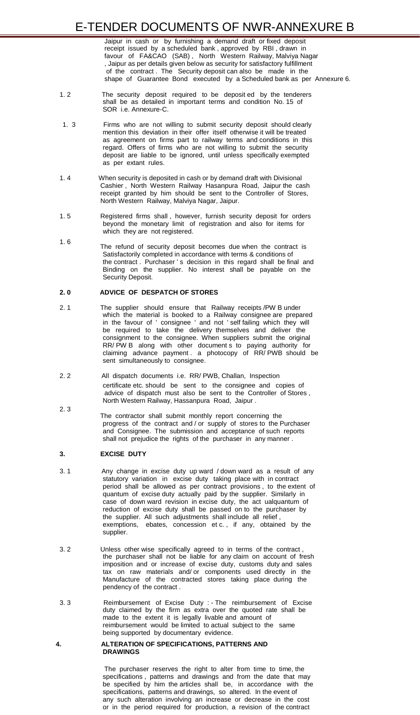Jaipur in cash or by furnishing a demand draft or fixed deposit receipt issued by a scheduled bank , approved by RBI , drawn in favour of FA&CAO (SAB) , North Western Railway, Malviya Nagar , Jaipur as per details given below as security for satisfactory fulfillment of the contract . The Security deposit can also be made in the shape of Guarantee Bond executed by a Scheduled bank as per Annexure 6.

- 1. 2 The security deposit required to be deposit ed by the tenderers shall be as detailed in important terms and condition No. 15 of SOR i.e. Annexure-C.
- 1. 3 Firms who are not willing to submit security deposit should clearly mention this deviation in their offer itself otherwise it will be treated as agreement on firms part to railway terms and conditions in this regard. Offers of firms who are not willing to submit the security deposit are liable to be ignored, until unless specifically exempted as per extant rules.
- 1. 4 When security is deposited in cash or by demand draft with Divisional Cashier , North Western Railway Hasanpura Road, Jaipur the cash receipt granted by him should be sent to the Controller of Stores, North Western Railway, Malviya Nagar, Jaipur.
- 1. 5 Registered firms shall , however, furnish security deposit for orders beyond the monetary limit of registration and also for items for which they are not registered.
- 1. 6 The refund of security deposit becomes due when the contract is Satisfactorily completed in accordance with terms & conditions of the contract . Purchaser ' s decision in this regard shall be final and Binding on the supplier. No interest shall be payable on the Security Deposit.

# **2. 0 ADVICE OF DESPATCH OF STORES**

- 2. 1 The supplier should ensure that Railway receipts /PW B under which the material is booked to a Railway consignee are prepared in the favour of ' consignee ' and not ' self failing which they will be required to take the delivery themselves and deliver the consignment to the consignee. When suppliers submit the original RR/ PW B along with other document s to paying authority for claiming advance payment . a photocopy of RR/ PWB should be sent simultaneously to consignee.
- 2. 2 All dispatch documents i.e. RR/ PWB, Challan, Inspection certificate etc. should be sent to the consignee and copies of advice of dispatch must also be sent to the Controller of Stores , North Western Railway, Hassanpura Road, Jaipur .
	- The contractor shall submit monthly report concerning the progress of the contract and / or supply of stores to the Purchaser and Consignee. The submission and acceptance of such reports shall not prejudice the rights of the purchaser in any manner .

2. 3

# **3. EXCISE DUTY**

3. 1 Any change in excise duty up ward / down ward as a result of any statutory variation in excise duty taking place with in contract period shall be allowed as per contract provisions , to the extent of quantum of excise duty actually paid by the supplier. Similarly in

> case of down ward revision in excise duty, the act ualquantum of reduction of excise duty shall be passed on to the purchaser by the supplier. All such adjustments shall include all relief , exemptions, ebates, concession et c. , if any, obtained by the supplier.

- 3. 2 Unless other wise specifically agreed to in terms of the contract , the purchaser shall not be liable for any claim on account of fresh imposition and or increase of excise duty, customs duty and sales tax on raw materials and/ or components used directly in the Manufacture of the contracted stores taking place during the pendency of the contract .
- 3. 3 Reimbursement of Excise Duty : The reimbursement of Excise duty claimed by the firm as extra over the quoted rate shall be made to the extent it is legally livable and amount of reimbursement would be limited to actual subject to the same being supported by documentary evidence.

#### **4. ALTERATION OF SPECIFICATIONS, PATTERNS AND DRAWINGS**

The purchaser reserves the right to alter from time to time, the specifications , patterns and drawings and from the date that may be specified by him the articles shall be, in accordance with the specifications, patterns and drawings, so altered. In the event of any such alteration involving an increase or decrease in the cost or in the period required for production, a revision of the contract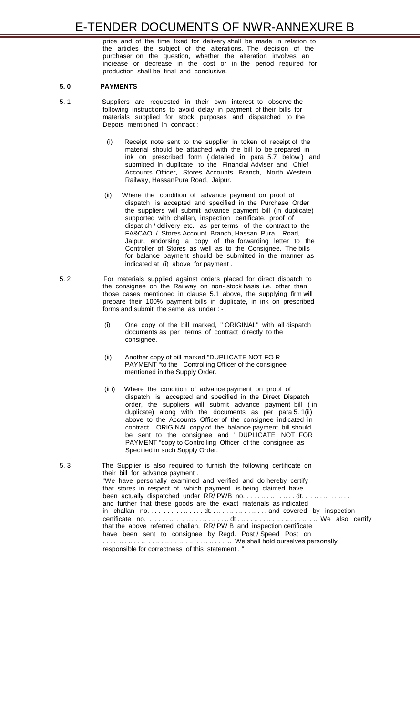price and of the time fixed for delivery shall be made in relation to the articles the subject of the alterations. The decision of the purchaser on the question, whether the alteration involves an increase or decrease in the cost or in the period required for production shall be final and conclusive.

# **5. 0 PAYMENTS**

- 5. 1 Suppliers are requested in their own interest to observe the following instructions to avoid delay in payment of their bills for materials supplied for stock purposes and dispatched to the Depots mentioned in contract :
	- (i) Receipt note sent to the supplier in token of receipt of the material should be attached with the bill to be prepared in ink on prescribed form ( detailed in para 5.7 below ) and submitted in duplicate to the Financial Adviser and Chief Accounts Officer, Stores Accounts Branch, North Western Railway, HassanPura Road, Jaipur.
	- (ii) Where the condition of advance payment on proof of dispatch is accepted and specified in the Purchase Order the suppliers will submit advance payment bill (in duplicate) supported with challan, inspection certificate, proof of dispat ch / delivery etc. as per terms of the contract to the FA&CAO / Stores Account Branch, Hassan Pura Road, Jaipur, endorsing a copy of the forwarding letter to the Controller of Stores as well as to the Consignee. The bills for balance payment should be submitted in the manner as indicated at (i) above for payment .
- 5. 2 For materials supplied against orders placed for direct dispatch to the consignee on the Railway on non- stock basis i.e. other than those cases mentioned in clause 5.1 above, the supplying firm will prepare their 100% payment bills in duplicate, in ink on prescribed forms and submit the same as under : -
	- (i) One copy of the bill marked, " ORIGINAL" with all dispatch documents as per terms of contract directly to the consignee.
	- (ii) Another copy of bill marked "DUPLICATE NOT FO R PAYMENT "to the Controlling Officer of the consignee mentioned in the Supply Order.
	- (ii i) Where the condition of advance payment on proof of dispatch is accepted and specified in the Direct Dispatch order, the suppliers will submit advance payment bill ( in duplicate) along with the documents as per para 5. 1(ii) above to the Accounts Officer of the consignee indicated in contract . ORIGINAL copy of the balance payment bill should be sent to the consignee and " DUPLICATE NOT FOR PAYMENT "copy to Controlling Officer of the consignee as Specified in such Supply Order.
- 5. 3 The Supplier is also required to furnish the following certificate on their bill for advance payment . "We have personally examined and verified and do hereby certify that stores in respect of which payment is being claimed have

been actually dispatched under RR/ PWB no. . . . . .. . .. . . .. . . dt. . . .. . .. . . .. . . and further that these goods are the exact materials as indicated in challan no. . . . . . .. . . .. . . . . dt. . .. . . .. . .. . . .. . . . and covered by inspection certificate no. . . . . . .. . . .. . . . .. . .. . . .. dt . .. . . .. . . .. . .. . .. . . . .. . .. We also certify that the above referred challan, RR/ PW B and inspection certificate have been sent to consignee by Regd. Post / Speed Post on . . . . .. . .. . . .. . . .. . .. . . .. . .. . . .. .. . . . .. We shall hold ourselves personally responsible for correctness of this statement . "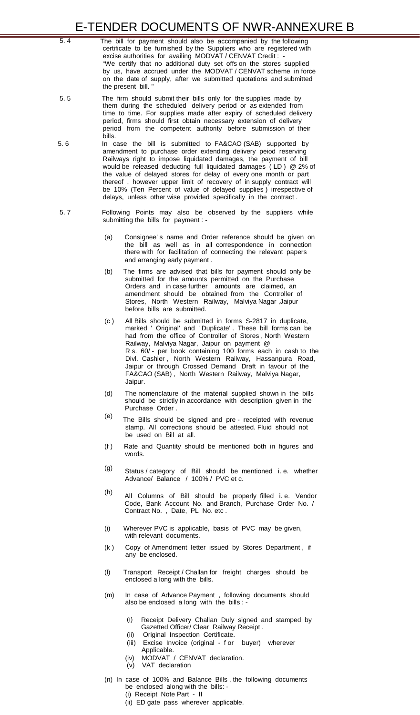- 5. 4 The bill for payment should also be accompanied by the following certificate to be furnished by the Suppliers who are registered with excise authorities for availing MODVAT / CENVAT Credit : - "We certify that no additional duty set offs on the stores supplied by us, have accrued under the MODVAT / CENVAT scheme in force on the date of supply, after we submitted quotations and submitted the present bill. "
- 5. 5 The firm should submit their bills only for the supplies made by them during the scheduled delivery period or as extended from time to time. For supplies made after expiry of scheduled delivery period, firms should first obtain necessary extension of delivery period from the competent authority before submission of their bills.
- 5. 6 In case the bill is submitted to FA&CAO (SAB) supported by amendment to purchase order extending delivery peiod reserving Railways right to impose liquidated damages, the payment of bill would be released deducting full liquidated damages ( LD ) @ 2% of the value of delayed stores for delay of every one month or part thereof , however upper limit of recovery of in supply contract will be 10% (Ten Percent of value of delayed supplies ) irrespective of delays, unless other wise provided specifically in the contract .
- 5. 7 Following Points may also be observed by the suppliers while submitting the bills for payment : -
	- (a) Consignee' s name and Order reference should be given on the bill as well as in all correspondence in connection there with for facilitation of connecting the relevant papers and arranging early payment .
	- (b) The firms are advised that bills for payment should only be submitted for the amounts permitted on the Purchase Orders and in case further amounts are claimed, an amendment should be obtained from the Controller of Stores, North Western Railway, Malviya Nagar ,Jaipur before bills are submitted.
	- (c ) All Bills should be submitted in forms S-2817 in duplicate, marked ' Original' and ' Duplicate' . These bill forms can be had from the office of Controller of Stores , North Western Railway, Malviya Nagar, Jaipur on payment @ R s. 60/ - per book containing 100 forms each in cash to the Divl. Cashier , North Western Railway, Hassanpura Road, Jaipur or through Crossed Demand Draft in favour of the FA&CAO (SAB) , North Western Railway, Malviya Nagar, Jaipur.
	- (d) The nomenclature of the material supplied shown in the bills should be strictly in accordance with description given in the Purchase Order .
	- (e) The Bills should be signed and pre - receipted with revenue stamp. All corrections should be attested. Fluid should not be used on Bill at all.
	- (f ) Rate and Quantity should be mentioned both in figures and words.
	- (g) Status / category of Bill should be mentioned i. e. whether Advance/ Balance / 100% / PVC et c.
	- (h) All Columns of Bill should be properly filled i. e. Vendor Code, Bank Account No. and Branch, Purchase Order No. / Contract No. , Date, PL No. etc .
	- (i) Wherever PVC is applicable, basis of PVC may be given, with relevant documents.
	- (k ) Copy of Amendment letter issued by Stores Department , if any be enclosed.
	- (l) Transport Receipt / Challan for freight charges should be enclosed a long with the bills.
	- (m) In case of Advance Payment , following documents should also be enclosed a long with the bills : -
		- (i) Receipt Delivery Challan Duly signed and stamped by Gazetted Officer/ Clear Railway Receipt .
		- (ii) Original Inspection Certificate.
		- (iii) Excise Invoice (original f or buyer) wherever Applicable.
		- (iv) MODVAT / CENVAT declaration.
		- (v) VAT declaration
	- (n) In case of 100% and Balance Bills , the following documents
		- be enclosed along with the bills: -
		- (i) Receipt Note Part II
		- (ii) ED gate pass wherever applicable.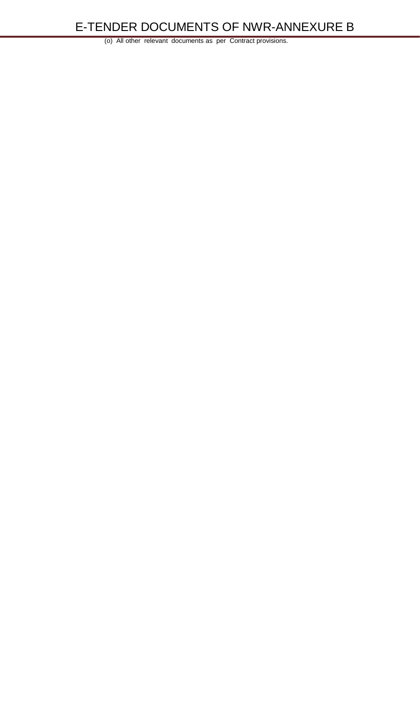(o) All other relevant documents as per Contract provisions.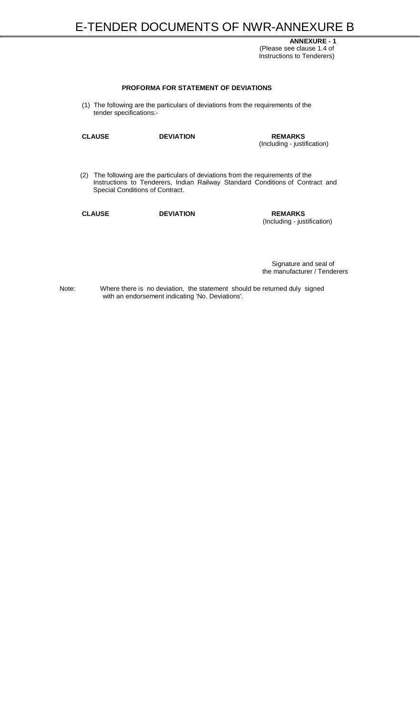**ANNEXURE - 1** (Please see clause 1.4 of Instructions to Tenderers)

### **PROFORMA FOR STATEMENT OF DEVIATIONS**

(1) The following are the particulars of deviations from the requirements of the tender specifications:-

**CLAUSE DEVIATION REMARKS**

(Including - justification)

(2) The following are the particulars of deviations from the requirements of the Instructions to Tenderers, Indian Railway Standard Conditions of Contract and Special Conditions of Contract.

**CLAUSE DEVIATION REMARKS**

(Including - justification)

Signature and seal of the manufacturer / Tenderers

Note: Where there is no deviation, the statement should be returned duly signed with an endorsement indicating 'No. Deviations'.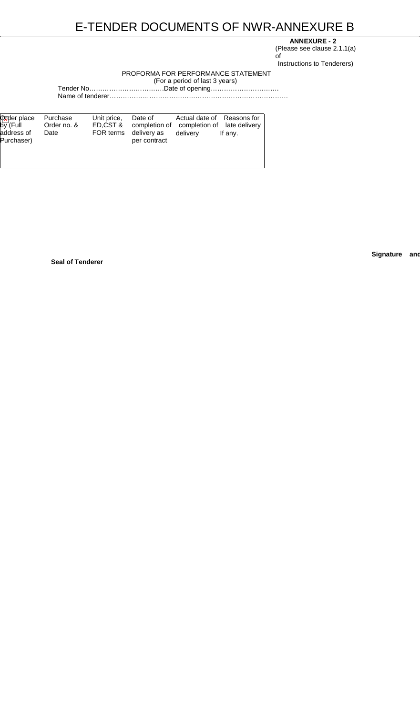# **ANNEXURE - 2**

(Please see clause 2.1.1(a) of Instructions to Tenderers)

# PROFORMA FOR PERFORMANCE STATEMENT

(For a period of last 3 years)

Tender No…………………………….Date of opening…………………………. Name of tenderer………………………………………………………………………

| <b>Oxpler place</b><br>$b\overline{\mathsf{y}}$ (Full | Purchase<br>Order no. & | Unit price,           | Date of      | Actual date of Reasons for<br>ED, CST & completion of completion of late delivery |         |
|-------------------------------------------------------|-------------------------|-----------------------|--------------|-----------------------------------------------------------------------------------|---------|
| address of<br>Purchaser)                              | Date                    | FOR terms delivery as | per contract | delivery                                                                          | If any. |
|                                                       |                         |                       |              |                                                                                   |         |

**Signature and**

**Seal of Tenderer**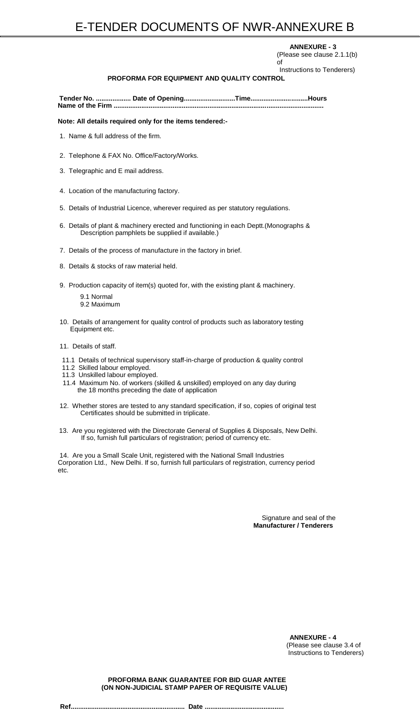#### **ANNEXURE - 3**

(Please see clause 2.1.1(b) of

Instructions to Tenderers)

# **PROFORMA FOR EQUIPMENT AND QUALITY CONTROL**

**Tender No. ................... Date of Opening............................Time...............................Hours Name of the Firm ..................................................................................................................**

**Note: All details required only for the items tendered:-**

- 1. Name & full address of the firm.
- 2. Telephone & FAX No. Office/Factory/Works.
- 3. Telegraphic and E mail address.
- 4. Location of the manufacturing factory.
- 5. Details of Industrial Licence, wherever required as per statutory regulations.
- 6. Details of plant & machinery erected and functioning in each Deptt.(Monographs & Description pamphlets be supplied if available.)
- 7. Details of the process of manufacture in the factory in brief.
- 8. Details & stocks of raw material held.
- 9. Production capacity of item(s) quoted for, with the existing plant & machinery.
	- 9.1 Normal 9.2 Maximum
- 10. Details of arrangement for quality control of products such as laboratory testing Equipment etc.
- 11. Details of staff.
- 11.1 Details of technical supervisory staff-in-charge of production & quality control
- 11.2 Skilled labour employed.
- 11.3 Unskilled labour employed.
- 11.4 Maximum No. of workers (skilled & unskilled) employed on any day during the 18 months preceding the date of application
- 12. Whether stores are tested to any standard specification, if so, copies of original test Certificates should be submitted in triplicate.
- 13. Are you registered with the Directorate General of Supplies & Disposals, New Delhi. If so, furnish full particulars of registration; period of currency etc.

14. Are you a Small Scale Unit, registered with the National Small Industries Corporation Ltd., New Delhi. If so, furnish full particulars of registration, currency period etc.

> Signature and seal of the **Manufacturer / Tenderers**

> > **ANNEXURE - 4** (Please see clause 3.4 of Instructions to Tenderers)

#### **PROFORMA BANK GUARANTEE FOR BID GUAR ANTEE (ON NON-JUDICIAL STAMP PAPER OF REQUISITE VALUE)**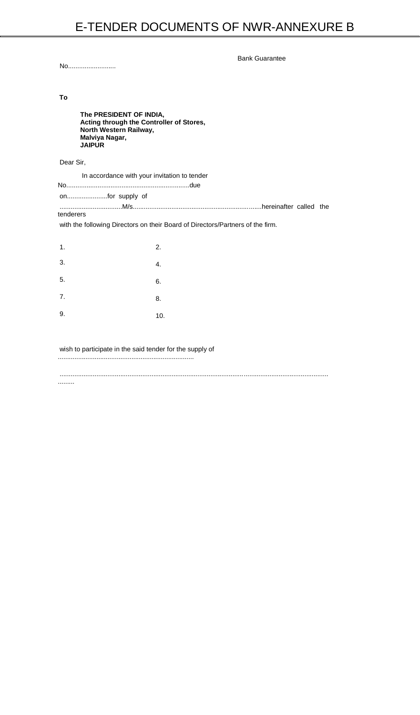Bank Guarantee

No..........................

# **To**

| Malviya Nagar,<br><b>JAIPUR</b> | The PRESIDENT OF INDIA,<br>Acting through the Controller of Stores,<br>North Western Railway, |                                                                                |  |
|---------------------------------|-----------------------------------------------------------------------------------------------|--------------------------------------------------------------------------------|--|
| Dear Sir,                       |                                                                                               |                                                                                |  |
|                                 | In accordance with your invitation to tender                                                  |                                                                                |  |
| onfor supply of                 |                                                                                               |                                                                                |  |
| tenderers                       |                                                                                               |                                                                                |  |
|                                 |                                                                                               | with the following Directors on their Board of Directors/Partners of the firm. |  |
| 1.                              | 2.                                                                                            |                                                                                |  |
| 3.                              | 4.                                                                                            |                                                                                |  |

5.

7.

9.

6.

8.

10.

wish to participate in the said tender for the supply of

..........................................................................

..................................................................................................................................................

.........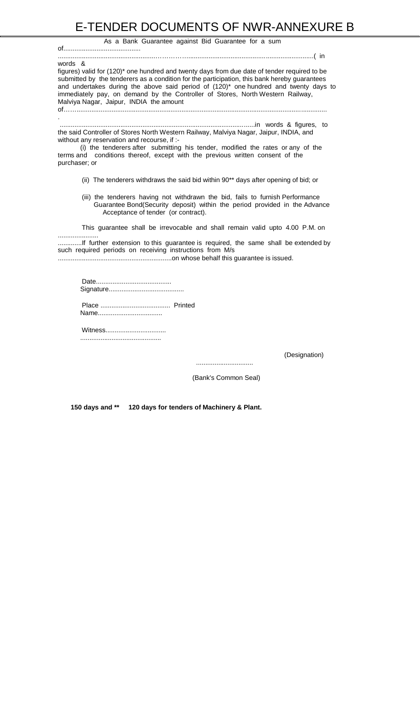#### As a Bank Guarantee against Bid Guarantee for a sum

#### words &

..........................................................................................................in words & figures, to the said Controller of Stores North Western Railway, Malviya Nagar, Jaipur, INDIA, and without any reservation and recourse, if :-

figures) valid for (120)\* one hundred and twenty days from due date of tender required to be submitted by the tenderers as a condition for the participation, this bank hereby guarantees and undertakes during the above said period of (120)\* one hundred and twenty days to immediately pay, on demand by the Controller of Stores, North Western Railway, Malviya Nagar, Jaipur, INDIA the amount

of……........................................................................................................................................

.

(i) the tenderers after submitting his tender, modified the rates or any of the terms and conditions thereof, except with the previous written consent of the purchaser; or

- (ii) The tenderers withdraws the said bid within 90\*\* days after opening of bid; or
- (iii) the tenderers having not withdrawn the bid, fails to furnish Performance Guarantee Bond(Security deposit) within the period provided in the Advance Acceptance of tender (or contract).

This guarantee shall be irrevocable and shall remain valid upto 4.00 P.M. on

......................

.............If further extension to this guarantee is required, the same shall be extended by such required periods on receiving instructions from M/s

..............................................................on whose behalf this guarantee is issued.

Date......................................... Signature.........................................

Place ...................................... Printed Name...................................

Witness................................. ............................................

(Designation)

...............................

(Bank's Common Seal)

**150 days and \*\* 120 days for tenders of Machinery & Plant.**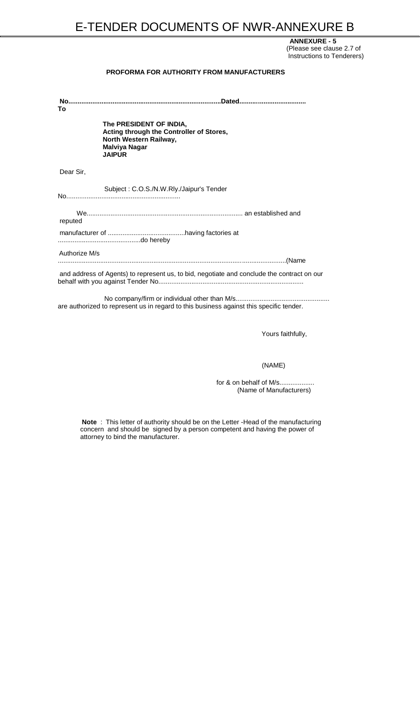**ANNEXURE - 5** (Please see clause 2.7 of Instructions to Tenderers)

#### **PROFORMA FOR AUTHORITY FROM MANUFACTURERS**

| To            |                                                                                                                                        |
|---------------|----------------------------------------------------------------------------------------------------------------------------------------|
|               | The PRESIDENT OF INDIA,<br>Acting through the Controller of Stores,<br>North Western Railway,<br><b>Malviya Nagar</b><br><b>JAIPUR</b> |
| Dear Sir,     |                                                                                                                                        |
|               | Subject: C.O.S./N.W.Rly./Jaipur's Tender                                                                                               |
| reputed       |                                                                                                                                        |
|               |                                                                                                                                        |
| Authorize M/s |                                                                                                                                        |
|               | and address of Agents) to represent us, to bid, negotiate and conclude the contract on our                                             |
|               |                                                                                                                                        |

for & on behalf of M/s................... (Name of Manufacturers)

No company/firm or individual other than M/s................................................... are authorized to represent us in regard to this business against this specific tender.

Yours faithfully,

(NAME)

**Note** : This letter of authority should be on the Letter -Head of the manufacturing concern and should be signed by a person competent and having the power of attorney to bind the manufacturer.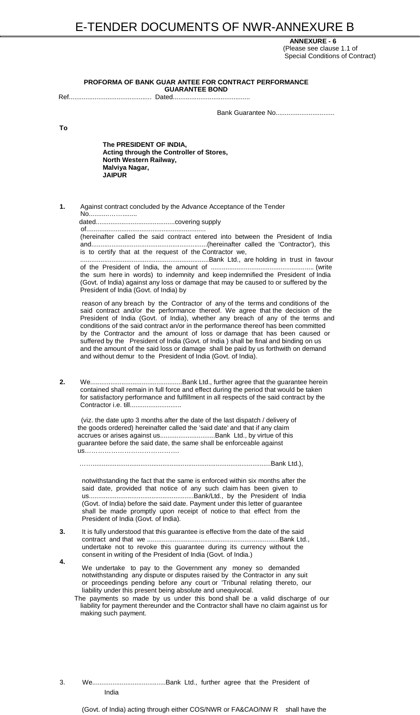**ANNEXURE - 6** (Please see clause 1.1 of Special Conditions of Contract)

**PROFORMA OF BANK GUAR ANTEE FOR CONTRACT PERFORMANCE GUARANTEE BOND**

Ref............................................. Dated..........................................

**Bank Guarantee No...............................** 

**To**

**The PRESIDENT OF INDIA, Acting through the Controller of Stores, North Western Railway, Malviya Nagar, JAIPUR**

**1.** Against contract concluded by the Advance Acceptance of the Tender No...........……........

dated...........................................covering supply

of.................................................................

(hereinafter called the said contract entered into between the President of India and...............................................................(hereinafter called the 'Contractor'), this is to certify that at the request of the Contractor we,

......................................................................Bank Ltd., are holding in trust in favour of the President of India, the amount of ........................................................ (write the sum here in words) to indemnity and keep indemnified the President of India (Govt. of India) against any loss or damage that may be caused to or suffered by the President of India (Govt. of India) by

reason of any breach by the Contractor of any of the terms and conditions of the said contract and/or the performance thereof. We agree that the decision of the President of India (Govt. of India), whether any breach of any of the terms and conditions of the said contract an/or in the performance thereof has been committed by the Contractor and the amount of loss or damage that has been caused or suffered by the President of India (Govt. of India ) shall be final and binding on us and the amount of the said loss or damage shall be paid by us forthwith on demand and without demur to the President of India (Govt. of India).

We undertake to pay to the Government any money so demanded notwithstanding any dispute or disputes raised by the Contractor in any suit or proceedings pending before any court or 'Tribunal relating thereto, our liability under this present being absolute and unequivocal.

**2.** We..................................................Bank Ltd., further agree that the guarantee herein contained shall remain in full force and effect during the period that would be taken for satisfactory performance and fulfillment in all respects of the said contract by the Contractor i.e. till............................

(viz. the date upto 3 months after the date of the last dispatch / delivery of the goods ordered) hereinafter called the 'said date' and that if any claim accrues or arises against us..............................Bank Ltd., by virtue of this guarantee before the said date, the same shall be enforceable against us…………………………………….

…….................................................................................................Bank Ltd.),

notwithstanding the fact that the same is enforced within six months after the said date, provided that notice of any such claim has been given to us.........................................................Bank/Ltd., by the President of India (Govt. of India) before the said date. Payment under this letter of guarantee shall be made promptly upon receipt of notice to that effect from the President of India (Govt. of India).

**4.**

**3.** It is fully understood that this guarantee is effective from the date of the said contract and that we ........................................................................Bank Ltd., undertake not to revoke this guarantee during its currency without the consent in writing of the President of India (Govt. of India.)

The payments so made by us under this bond shall be a valid discharge of our liability for payment thereunder and the Contractor shall have no claim against us for making such payment.

# 3. We........................................Bank Ltd., further agree that the President of India

(Govt. of India) acting through either COS/NWR or FA&CAO/NW R shall have the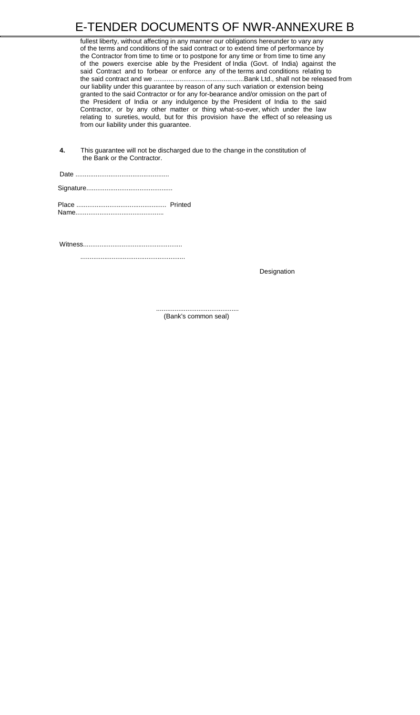fullest liberty, without affecting in any manner our obligations hereunder to vary any of the terms and conditions of the said contract or to extend time of performance by the Contractor from time to time or to postpone for any time or from time to time any of the powers exercise able by the President of India (Govt. of India) against the said Contract and to forbear or enforce any of the terms and conditions relating to the said contract and we .................................................Bank Ltd., shall not be released from our liability under this guarantee by reason of any such variation or extension being granted to the said Contractor or for any for-bearance and/or omission on the part of the President of India or any indulgence by the President of India to the said Contractor, or by any other matter or thing what-so-ever, which under the law relating to sureties, would, but for this provision have the effect of so releasing us from our liability under this guarantee.

**4.** This guarantee will not be discharged due to the change in the constitution of the Bank or the Contractor.

Date ................................................... Signature............................................... Place ................................................. Printed Name................................................

Witness......................................................

.........................................................

**Designation** 

............................................. (Bank's common seal)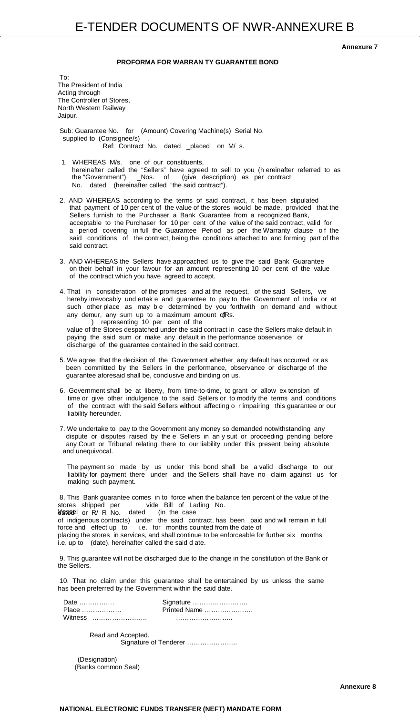**Annexure 7**

### **PROFORMA FOR WARRAN TY GUARANTEE BOND**

To: The President of India Acting through The Controller of Stores, North Western Railway Jaipur.

Sub: Guarantee No. for (Amount) Covering Machine(s) Serial No. supplied to (Consignee/s) Ref: Contract No. dated \_placed on M/ s.

4. That in consideration of the promises and at the request, of the said Sellers, we hereby irrevocably und ertak e and guarantee to pay to the Government of India or at such other place as may b e determined by you forthwith on demand and without any demur, any sum up to a maximum amount offRs.

- 1. WHEREAS M/s. one of our constituents, hereinafter called the "Sellers" have agreed to sell to you (h ereinafter referred to as the "Government") \_Nos. of (give description) as per contract No. dated (hereinafter called "the said contract").
- 2. AND WHEREAS according to the terms of said contract, it has been stipulated that payment of 10 per cent of the value of the stores would be made, provided that the Sellers furnish to the Purchaser a Bank Guarantee from a recognized Bank, acceptable to the Purchaser for 10 per cent of the value of the said contract, valid for a period covering in full the Guarantee Period as per the Warranty clause o f the said conditions of the contract, being the conditions attached to and forming part of the said contract.
- 3. AND WHEREAS the Sellers have approached us to give the said Bank Guarantee on their behalf in your favour for an amount representing 10 per cent of the value of the contract which you have agreed to accept.

) representing 10 per cent of the value of the Stores despatched under the said contract in case the Sellers make default in paying the said sum or make any default in the performance observance or discharge of the guarantee contained in the said contract.

- 5. We agree that the decision of the Government whether any default has occurred or as been committed by the Sellers in the performance, observance or discharge of the guarantee aforesaid shall be, conclusive and binding on us.
- 6. Government shall be at liberty, from time-to-time, to grant or allow ex tension of time or give other indulgence to the said Sellers or to modify the terms and conditions of the contract with the said Sellers without affecting o r impairing this guarantee or our liability hereunder.
- 7. We undertake to pay to the Government any money so demanded notwithstanding any dispute or disputes raised by the e Sellers in an y suit or proceeding pending before any Court or Tribunal relating there to our liability under this present being absolute and unequivocal.

The payment so made by us under this bond shall be a valid discharge to our liability for payment there under and the Sellers shall have no claim against us for making such payment.

8. This Bank guarantee comes in to force when the balance ten percent of the value of the stores shipped per vide Bill of Lading No. Vessel dated or R/ R No. dated (in the case of indigenous contracts) under the said contract, has been paid and will remain in full force and effect up to i.e. for months counted from the date of placing the stores in services, and shall continue to be enforceable for further six months i.e. up to (date), hereinafter called the said d ate.

9. This guarantee will not be discharged due to the change in the constitution of the Bank or the Sellers.

10. That no claim under this guarantee shall be entertained by us unless the same has been preferred by the Government within the said date.

| Date    | Signature    |  |
|---------|--------------|--|
| Place   | Printed Name |  |
| Witness |              |  |

Read and Accepted. Signature of Tenderer …………………..

(Designation) (Banks common Seal)

**Annexure 8**

### **NATIONAL ELECTRONIC FUNDS TRANSFER (NEFT) MANDATE FORM**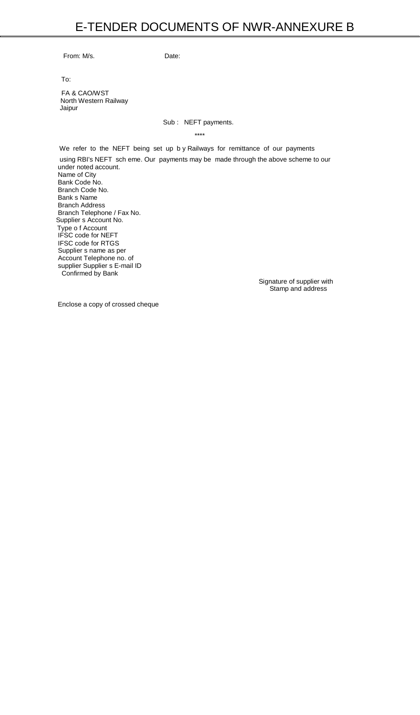From: M/s. Date:

To:

FA & CAO/WST North Western Railway Jaipur

### Sub : NEFT payments.

\*\*\*\*

We refer to the NEFT being set up b y Railways for remittance of our payments

using RBI's NEFT sch eme. Our payments may be made through the above scheme to our under noted account. Name of City Bank Code No. Branch Code No. Bank s Name Branch Address Branch Telephone / Fax No. Supplier s Account No. Type o f Account IFSC code for NEFT IFSC code for RTGS Supplier s name as per Account Telephone no. of supplier Supplier s E-mail ID Confirmed by Bank

Signature of supplier with Stamp and address

Enclose a copy of crossed cheque